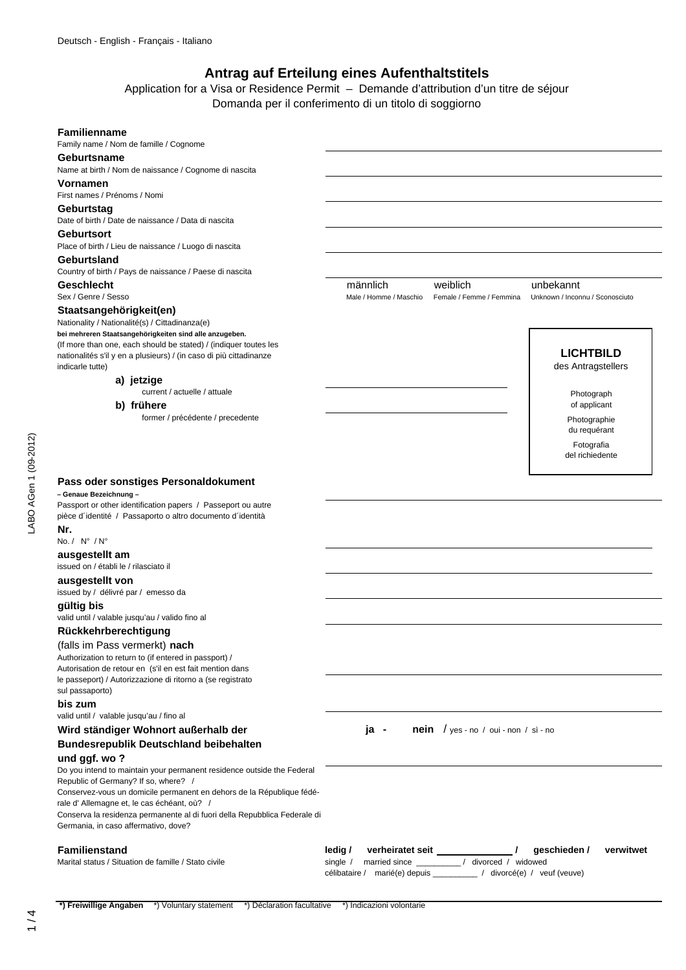# **Antrag auf Erteilung eines Aufenthaltstitels**

Application for a Visa or Residence Permit – Demande d'attribution d'un titre de séjour Domanda per il conferimento di un titolo di soggiorno

### **Familienname**

Family name / Nom de famille / Cognome

# **Geburtsname**

Name at birth / Nom de naissance / Cognome di nascita

### **Vornamen**

First names / Prénoms / Nomi

#### **Geburtstag**

Date of birth / Date de naissance / Data di nascita

#### **Geburtsort**

Place of birth / Lieu de naissance / Luogo di nascita

#### **Geburtsland**

Country of birth / Pays de naissance / Paese di nascita **Geschlecht** männlich weiblich unbekannt

#### **Staatsangehörigkeit(en)**

Nationality / Nationalité(s) / Cittadinanza(e) **bei mehreren Staatsangehörigkeiten sind alle anzugeben.** (If more than one, each should be stated) / (indiquer toutes les nationalités s'il y en a plusieurs) / (in caso di più cittadinanze indicarle tutte)

#### **a) jetzige**

current / actuelle / attuale

### **b) frühere**

former / précédente / precedente

Sex / Genre / Sesso **Male / Homme / Maschio Female / Femme / Femmina** Unknown / Inconnu / Sconosciuto

**LICHTBILD** des Antragstellers

> Photograph of applicant Photographie du requérant

Fotografia del richiedente

## **Pass oder sonstiges Personaldokument**

#### **– Genaue Bezeichnung –**

Passport or other identification papers / Passeport ou autre pièce d´identité / Passaporto o altro documento d´identità **Nr.**

# No. / N° / N°

LABO AGen 1 (09-2012)

ABO AGen 1 (09-2012)

**ausgestellt am**

#### issued on / établi le / rilasciato il

**ausgestellt von**

issued by / délivré par / emesso da

### **gültig bis**

valid until / valable jusqu'au / valido fino al

# **Rückkehrberechtigung**

#### (falls im Pass vermerkt) **nach**

Authorization to return to (if entered in passport) / Autorisation de retour en (s'il en est fait mention dans le passeport) / Autorizzazione di ritorno a (se registrato sul passaporto)

#### **bis zum**

valid until / valable jusqu'au / fino al

# **Wird ständiger Wohnort außerhalb der ja - nein** / yes - no / oui - non / sì - no **Bundesrepublik Deutschland beibehalten**

#### **und ggf. wo ?**

Do you intend to maintain your permanent residence outside the Federal Republic of Germany? If so, where? / Conservez-vous un domicile permanent en dehors de la République fédé-

rale d' Allemagne et, le cas échéant, où? /

Conserva la residenza permanente al di fuori della Repubblica Federale di

Germania, in caso affermativo, dove?

**Familienstand ledig / verheiratet seit / geschieden / verwitwet** Marital status / Situation de famille / Stato civile single / married since \_\_\_\_\_\_\_\_\_ / divorced / widowed célibataire / marié(e) depuis \_\_\_\_\_\_\_\_\_\_ / divorcé(e) / veuf (veuve)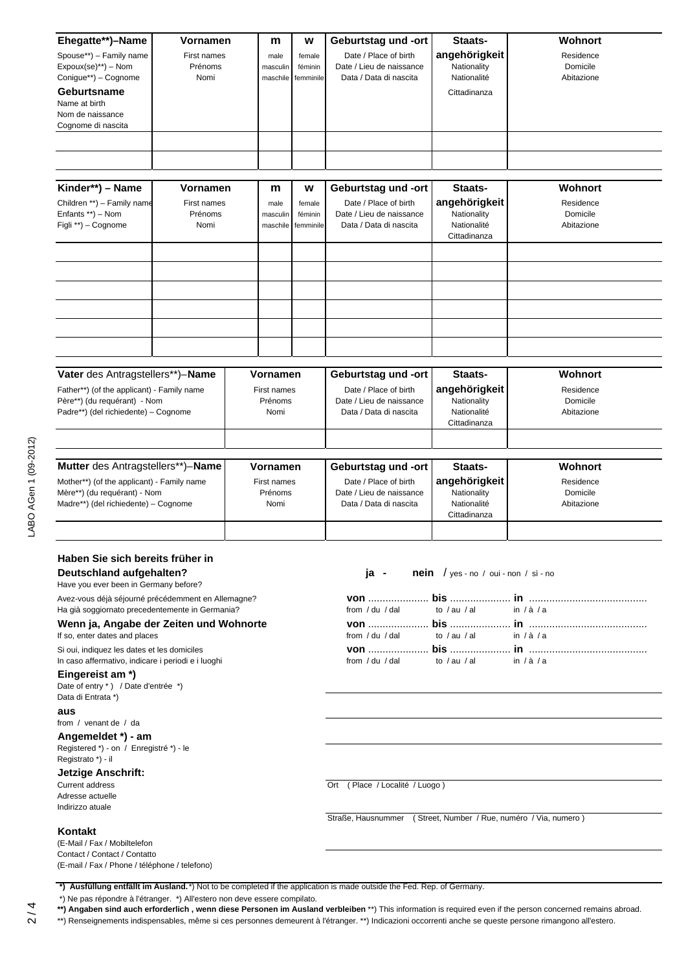| Ehegatte**)-Name<br>Spouse**) - Family name<br>$Expoux(se)^{**}$ ) – Nom<br>Conigue**) - Cognome<br>Geburtsname<br>Name at birth<br>Nom de naissance<br>Cognome di nascita<br>Kinder**) - Name                                                                                                 | <b>Vornamen</b><br>First names<br>Prénoms<br>Nomi<br><b>Vornamen</b> |                                            | m<br>male<br>masculin<br>maschile<br>m | W<br>female<br>féminin<br>femminile<br>W                                                          | Geburtstag und -ort<br>Date / Place of birth<br>Date / Lieu de naissance<br>Data / Data di nascita<br>Geburtstag und -ort | Staats-<br>angehörigkeit<br>Nationality<br>Nationalité<br>Cittadinanza<br>Staats- | Wohnort<br>Residence<br>Domicile<br>Abitazione<br>Wohnort |  |
|------------------------------------------------------------------------------------------------------------------------------------------------------------------------------------------------------------------------------------------------------------------------------------------------|----------------------------------------------------------------------|--------------------------------------------|----------------------------------------|---------------------------------------------------------------------------------------------------|---------------------------------------------------------------------------------------------------------------------------|-----------------------------------------------------------------------------------|-----------------------------------------------------------|--|
| Children **) - Family name<br>Enfants **) - Nom<br>Figli **) - Cognome                                                                                                                                                                                                                         | First names<br>Prénoms<br>Nomi                                       |                                            | male<br>masculin<br>maschile           | female<br>féminin<br>femminile                                                                    | Date / Place of birth<br>Date / Lieu de naissance<br>Data / Data di nascita                                               | angehörigkeit<br>Nationality<br>Nationalité<br>Cittadinanza                       | Residence<br>Domicile<br>Abitazione                       |  |
| Vater des Antragstellers**)-Name<br>Father**) (of the applicant) - Family name<br>Père**) (du requérant) - Nom<br>Padre**) (del richiedente) - Cognome                                                                                                                                         |                                                                      | Vornamen<br>First names<br>Prénoms<br>Nomi |                                        |                                                                                                   | Geburtstag und -ort<br>Date / Place of birth<br>Date / Lieu de naissance<br>Data / Data di nascita                        | Staats-<br>angehörigkeit<br>Nationality<br>Nationalité<br>Cittadinanza            | Wohnort<br>Residence<br>Domicile<br>Abitazione            |  |
| Mutter des Antragstellers**)-Name<br>Mother**) (of the applicant) - Family name<br>Mère**) (du requérant) - Nom<br>Madre**) (del richiedente) - Cognome                                                                                                                                        |                                                                      | Vornamen<br>First names<br>Prénoms<br>Nomi |                                        |                                                                                                   | Geburtstag und -ort<br>Date / Place of birth<br>Date / Lieu de naissance<br>Data / Data di nascita                        | Staats-<br>angehörigkeit<br>Nationality<br>Nationalité<br>Cittadinanza            | Wohnort<br>Residence<br>Domicile<br>Abitazione            |  |
| Haben Sie sich bereits früher in<br>Deutschland aufgehalten?<br>Have you ever been in Germany before?<br>Avez-vous déjà séjourné précédemment en Allemagne?<br>Ha già soggiornato precedentemente in Germania?                                                                                 |                                                                      |                                            |                                        |                                                                                                   | ja -<br><b>nein</b> / yes - no / oui - non / sì - no<br>from $/$ du $/$ dal<br>to $/$ au $/$ al<br>in $/\dot{a}/a$        |                                                                                   |                                                           |  |
| Wenn ja, Angabe der Zeiten und Wohnorte<br>If so, enter dates and places<br>Si oui, indiquez les dates et les domiciles<br>In caso affermativo, indicare i periodi e i luoghi<br>Eingereist am *)<br>Date of entry *) / Date d'entrée *)<br>Data di Entrata *)<br>aus<br>from / venant de / da |                                                                      |                                            |                                        |                                                                                                   | from $/$ du $/$ dal<br>from / du / dal                                                                                    | to $/$ au $/$ al<br>to $/$ au $/$ al                                              | in $/\dot{a}/a$<br>in $/\dot{a}/a$                        |  |
| Angemeldet *) - am<br>Registered *) - on / Enregistré *) - le<br>Registrato *) - il<br>Jetzige Anschrift:<br><b>Current address</b><br>Adresse actuelle<br>Indirizzo atuale                                                                                                                    |                                                                      |                                            |                                        | Ort (Place / Localité / Luogo)<br>Straße, Hausnummer (Street, Number / Rue, numéro / Via, numero) |                                                                                                                           |                                                                                   |                                                           |  |
| Kontakt<br>(E-Mail / Fax / Mobiltelefon<br>Contact / Contact / Contatto<br>(E-mail / Fax / Phone / téléphone / telefono)                                                                                                                                                                       |                                                                      |                                            |                                        |                                                                                                   | *) Ausfüllung entfällt im Ausland. *) Not to be completed if the application is made outside the Fed. Rep. of Germany.    |                                                                                   |                                                           |  |

\*) Ne pas répondre à l'étranger. \*) All'estero non deve essere compilato.

**\*\*) Angaben sind auch erforderlich , wenn diese Personen im Ausland verbleiben** \*\*) This information is required even if the person concerned remains abroad.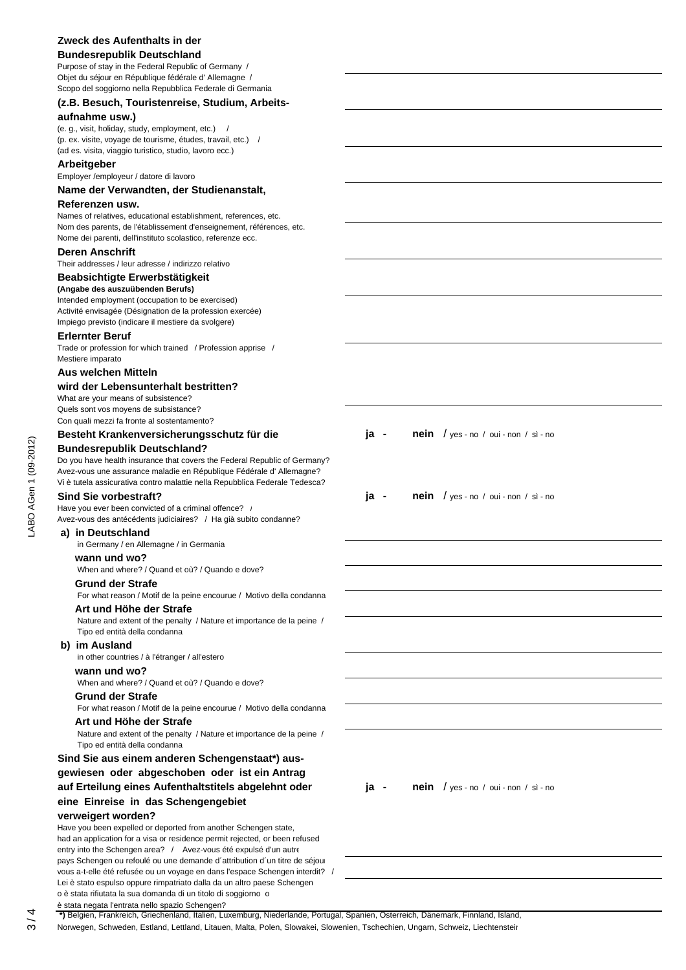# **Zweck des Aufenthalts in der Bundesrepublik Deutschland** Purpose of stay in the Federal Republic of Germany / Objet du séjour en République fédérale d' Allemagne / Scopo del soggiorno nella Repubblica Federale di Germania **(z.B. Besuch, Touristenreise, Studium, Arbeitsaufnahme usw.)** (e. g., visit, holiday, study, employment, etc.) / (p. ex. visite, voyage de tourisme, études, travail, etc.) / (ad es. visita, viaggio turistico, studio, lavoro ecc.) **Arbeitgeber** Employer /employeur / datore di lavoro **Name der Verwandten, der Studienanstalt, Referenzen usw.** Names of relatives, educational establishment, references, etc. Nom des parents, de l'établissement d'enseignement, références, etc.

3 / 4 LABO AGen 1 (09-2012)ABO AGen 1 (09-2012)

# Vi è tutela assicurativa contro malattie nella Repubblica Federale Tedesca? Have you ever been convicted of a criminal offence? /

**Deren Anschrift**

**Erlernter Beruf**

Mestiere imparato **Aus welchen Mitteln** 

Avez-vous des antécédents judiciaires? / Ha già subito condanne?

Do you have health insurance that covers the Federal Republic of Germany? Avez-vous une assurance maladie en République Fédérale d' Allemagne?

# **a) in Deutschland**

 in Germany / en Allemagne / in Germania  **wann und wo?**

Nome dei parenti, dell'instituto scolastico, referenze ecc.

Their addresses / leur adresse / indirizzo relativo **Beabsichtigte Erwerbstätigkeit (Angabe des auszuübenden Berufs)**

Intended employment (occupation to be exercised) Activité envisagée (Désignation de la profession exercée) Impiego previsto (indicare il mestiere da svolgere)

**wird der Lebensunterhalt bestritten?**

What are your means of subsistence? Quels sont vos moyens de subsistance? Con quali mezzi fa fronte al sostentamento?

**Bundesrepublik Deutschland?**

Trade or profession for which trained / Profession apprise /

When and where? / Quand et où? / Quando e dove?

#### **Grund der Strafe**

 For what reason / Motif de la peine encourue / Motivo della condanna  **Art und Höhe der Strafe** 

 Nature and extent of the penalty / Nature et importance de la peine / Tipo ed entità della condanna

#### **b) im Ausland**

in other countries / à l'étranger / all'estero

# **wann und wo?**

When and where? / Quand et où? / Quando e dove?

# **Grund der Strafe**

For what reason / Motif de la peine encourue / Motivo della condanna

### **Art und Höhe der Strafe**

 Nature and extent of the penalty / Nature et importance de la peine / Tipo ed entità della condanna

# **Sind Sie aus einem anderen Schengenstaat\*) ausgewiesen oder abgeschoben oder ist ein Antrag auf Erteilung eines Aufenthaltstitels abgelehnt oder ja - nein** / yes - no / oui - non / sì - no **eine Einreise in das Schengengebiet**

# **verweigert worden?**

Have you been expelled or deported from another Schengen state, had an application for a visa or residence permit rejected, or been refused entry into the Schengen area? / Avez-vous été expulsé d'un autre pays Schengen ou refoulé ou une demande d´attribution d´un titre de séjour vous a-t-elle été refusée ou un voyage en dans l'espace Schengen interdit? / Lei è stato espulso oppure rimpatriato dalla da un altro paese Schengen o è stata rifiutata la sua domanda di un titolo di soggiorno o è stata negata l'entrata nello spazio Schengen?

Besteht Krankenversicherungsschutz für die ja - nein / yes - no / oui - non / sì - no

Sind Sie vorbestraft? **Sind Sie vorbestraft? ja - nein** / yes - no / oui - non / sì - no

 **\*)** Belgien, Frankreich, Griechenland, Italien, Luxemburg, Niederlande, Portugal, Spanien, Österreich, Dänemark, Finnland, Island,

Norwegen, Schweden, Estland, Lettland, Litauen, Malta, Polen, Slowakei, Slowenien, Tschechien, Ungarn, Schweiz, Liechtenstein